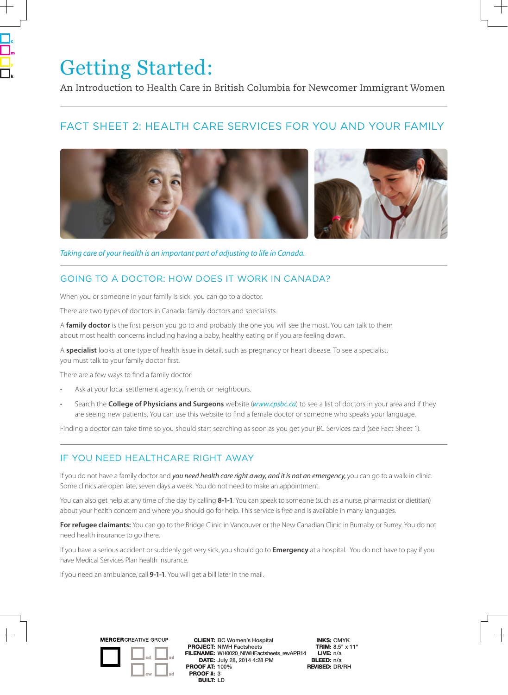# Getting Started:

An Introduction to Health Care in British Columbia for Newcomer Immigrant Women

## FACT SHEET 2: HEALTH CARE SERVICES FOR YOU AND YOUR FAMILY



*Taking care of your health is an important part of adjusting to life in Canada.*

## GOING TO A DOCTOR: HOW DOES IT WORK IN CANADA?

When you or someone in your family is sick, you can go to a doctor.

There are two types of doctors in Canada: family doctors and specialists.

A **family doctor** is the first person you go to and probably the one you will see the most. You can talk to them about most health concerns including having a baby, healthy eating or if you are feeling down.

A **specialist** looks at one type of health issue in detail, such as pregnancy or heart disease. To see a specialist, you must talk to your family doctor first.

There are a few ways to find a family doctor:

- Ask at your local settlement agency, friends or neighbours.
- Search the **College of Physicians and Surgeons** website (*www.cpsbc.ca*) to see a list of doctors in your area and if they are seeing new patients. You can use this website to find a female doctor or someone who speaks your language.

Finding a doctor can take time so you should start searching as soon as you get your BC Services card (see Fact Sheet 1).

#### IF YOU NEED HEALTHCARE RIGHT AWAY

If you do not have a family doctor and *you need health care right away, and it is not an emergency*, you can go to a walk-in clinic. Some clinics are open late, seven days a week. You do not need to make an appointment.

You can also get help at any time of the day by calling **8-1-1**. You can speak to someone (such as a nurse, pharmacist or dietitian) about your health concern and where you should go for help. This service is free and is available in many languages.

**For refugee claimants:** You can go to the Bridge Clinic in Vancouver or the New Canadian Clinic in Burnaby or Surrey. You do not need health insurance to go there.

If you have a serious accident or suddenly get very sick, you should go to **Emergency** at a hospital. You do not have to pay if you have Medical Services Plan health insurance.

If you need an ambulance, call **9-1-1**. You will get a bill later in the mail.